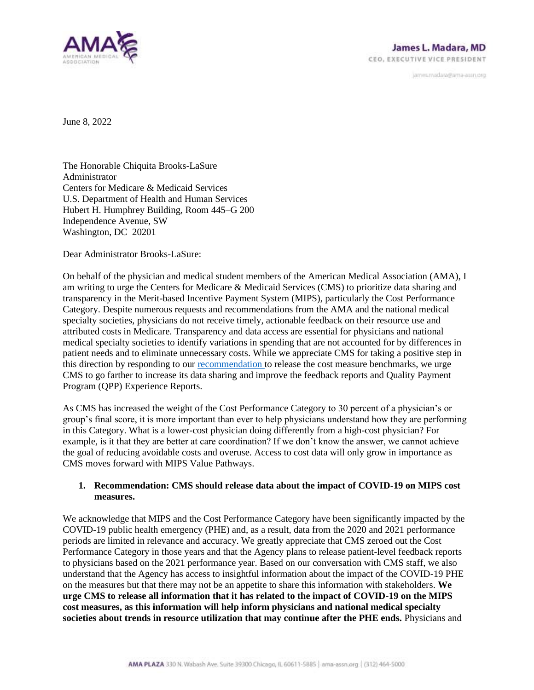

janves.madara@ama-assn.org

June 8, 2022

The Honorable Chiquita Brooks-LaSure Administrator Centers for Medicare & Medicaid Services U.S. Department of Health and Human Services Hubert H. Humphrey Building, Room 445–G 200 Independence Avenue, SW Washington, DC 20201

Dear Administrator Brooks-LaSure:

On behalf of the physician and medical student members of the American Medical Association (AMA), I am writing to urge the Centers for Medicare & Medicaid Services (CMS) to prioritize data sharing and transparency in the Merit-based Incentive Payment System (MIPS), particularly the Cost Performance Category. Despite numerous requests and recommendations from the AMA and the national medical specialty societies, physicians do not receive timely, actionable feedback on their resource use and attributed costs in Medicare. Transparency and data access are essential for physicians and national medical specialty societies to identify variations in spending that are not accounted for by differences in patient needs and to eliminate unnecessary costs. While we appreciate CMS for taking a positive step in this direction by responding to our [recommendation t](https://searchlf.ama-assn.org/letter/documentDownload?uri=%2Funstructured%2Fbinary%2Fletter%2FLETTERS%2F2021-4-13-MIPS-Benchmarks-Sign-on-Letter-to-CMS.pdf)o release the cost measure benchmarks, we urge CMS to go farther to increase its data sharing and improve the feedback reports and Quality Payment Program (QPP) Experience Reports.

As CMS has increased the weight of the Cost Performance Category to 30 percent of a physician's or group's final score, it is more important than ever to help physicians understand how they are performing in this Category. What is a lower-cost physician doing differently from a high-cost physician? For example, is it that they are better at care coordination? If we don't know the answer, we cannot achieve the goal of reducing avoidable costs and overuse. Access to cost data will only grow in importance as CMS moves forward with MIPS Value Pathways.

## **1. Recommendation: CMS should release data about the impact of COVID-19 on MIPS cost measures.**

We acknowledge that MIPS and the Cost Performance Category have been significantly impacted by the COVID-19 public health emergency (PHE) and, as a result, data from the 2020 and 2021 performance periods are limited in relevance and accuracy. We greatly appreciate that CMS zeroed out the Cost Performance Category in those years and that the Agency plans to release patient-level feedback reports to physicians based on the 2021 performance year. Based on our conversation with CMS staff, we also understand that the Agency has access to insightful information about the impact of the COVID-19 PHE on the measures but that there may not be an appetite to share this information with stakeholders. **We urge CMS to release all information that it has related to the impact of COVID-19 on the MIPS cost measures, as this information will help inform physicians and national medical specialty societies about trends in resource utilization that may continue after the PHE ends.** Physicians and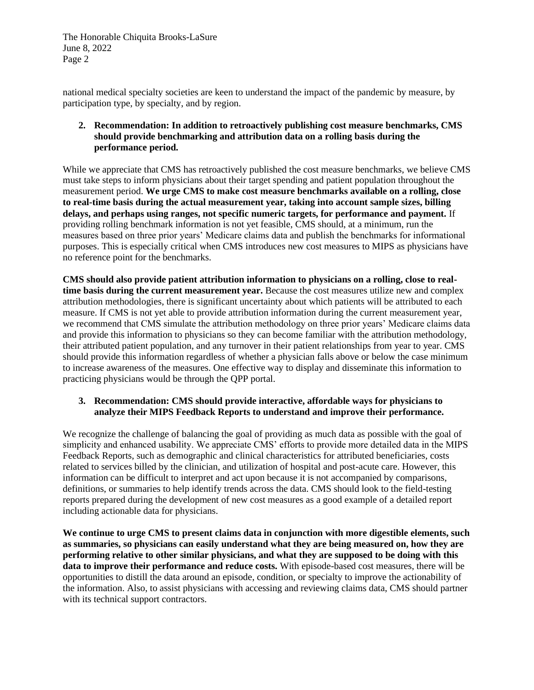The Honorable Chiquita Brooks-LaSure June 8, 2022 Page 2

national medical specialty societies are keen to understand the impact of the pandemic by measure, by participation type, by specialty, and by region.

## **2. Recommendation: In addition to retroactively publishing cost measure benchmarks, CMS should provide benchmarking and attribution data on a rolling basis during the performance period.**

While we appreciate that CMS has retroactively published the cost measure benchmarks, we believe CMS must take steps to inform physicians about their target spending and patient population throughout the measurement period. **We urge CMS to make cost measure benchmarks available on a rolling, close to real-time basis during the actual measurement year, taking into account sample sizes, billing delays, and perhaps using ranges, not specific numeric targets, for performance and payment.** If providing rolling benchmark information is not yet feasible, CMS should, at a minimum, run the measures based on three prior years' Medicare claims data and publish the benchmarks for informational purposes. This is especially critical when CMS introduces new cost measures to MIPS as physicians have no reference point for the benchmarks.

**CMS should also provide patient attribution information to physicians on a rolling, close to realtime basis during the current measurement year.** Because the cost measures utilize new and complex attribution methodologies, there is significant uncertainty about which patients will be attributed to each measure. If CMS is not yet able to provide attribution information during the current measurement year, we recommend that CMS simulate the attribution methodology on three prior years' Medicare claims data and provide this information to physicians so they can become familiar with the attribution methodology, their attributed patient population, and any turnover in their patient relationships from year to year. CMS should provide this information regardless of whether a physician falls above or below the case minimum to increase awareness of the measures. One effective way to display and disseminate this information to practicing physicians would be through the QPP portal.

## **3. Recommendation: CMS should provide interactive, affordable ways for physicians to analyze their MIPS Feedback Reports to understand and improve their performance.**

We recognize the challenge of balancing the goal of providing as much data as possible with the goal of simplicity and enhanced usability. We appreciate CMS' efforts to provide more detailed data in the MIPS Feedback Reports, such as demographic and clinical characteristics for attributed beneficiaries, costs related to services billed by the clinician, and utilization of hospital and post-acute care. However, this information can be difficult to interpret and act upon because it is not accompanied by comparisons, definitions, or summaries to help identify trends across the data. CMS should look to the field-testing reports prepared during the development of new cost measures as a good example of a detailed report including actionable data for physicians.

**We continue to urge CMS to present claims data in conjunction with more digestible elements, such as summaries, so physicians can easily understand what they are being measured on, how they are performing relative to other similar physicians, and what they are supposed to be doing with this data to improve their performance and reduce costs.** With episode-based cost measures, there will be opportunities to distill the data around an episode, condition, or specialty to improve the actionability of the information. Also, to assist physicians with accessing and reviewing claims data, CMS should partner with its technical support contractors.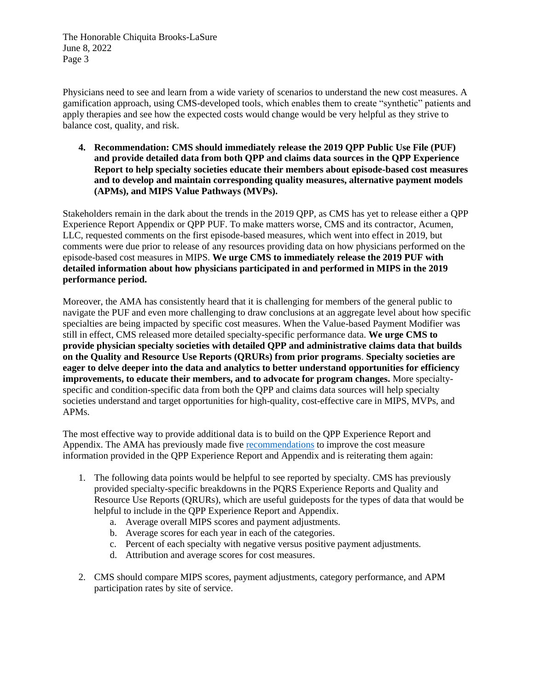The Honorable Chiquita Brooks-LaSure June 8, 2022 Page 3

Physicians need to see and learn from a wide variety of scenarios to understand the new cost measures. A gamification approach, using CMS-developed tools, which enables them to create "synthetic" patients and apply therapies and see how the expected costs would change would be very helpful as they strive to balance cost, quality, and risk.

**4. Recommendation: CMS should immediately release the 2019 QPP Public Use File (PUF) and provide detailed data from both QPP and claims data sources in the QPP Experience Report to help specialty societies educate their members about episode-based cost measures and to develop and maintain corresponding quality measures, alternative payment models (APMs), and MIPS Value Pathways (MVPs).**

Stakeholders remain in the dark about the trends in the 2019 QPP, as CMS has yet to release either a QPP Experience Report Appendix or QPP PUF. To make matters worse, CMS and its contractor, Acumen, LLC, requested comments on the first episode-based measures, which went into effect in 2019, but comments were due prior to release of any resources providing data on how physicians performed on the episode-based cost measures in MIPS. **We urge CMS to immediately release the 2019 PUF with detailed information about how physicians participated in and performed in MIPS in the 2019 performance period.** 

Moreover, the AMA has consistently heard that it is challenging for members of the general public to navigate the PUF and even more challenging to draw conclusions at an aggregate level about how specific specialties are being impacted by specific cost measures. When the Value-based Payment Modifier was still in effect, CMS released more detailed specialty-specific performance data. **We urge CMS to provide physician specialty societies with detailed QPP and administrative claims data that builds on the Quality and Resource Use Reports (QRURs) from prior programs**. **Specialty societies are eager to delve deeper into the data and analytics to better understand opportunities for efficiency improvements, to educate their members, and to advocate for program changes.** More specialtyspecific and condition-specific data from both the QPP and claims data sources will help specialty societies understand and target opportunities for high-quality, cost-effective care in MIPS, MVPs, and APMs.

The most effective way to provide additional data is to build on the QPP Experience Report and Appendix. The AMA has previously made five [recommendations](https://searchlf.ama-assn.org/letter/documentDownload?uri=%2Funstructured%2Fbinary%2Fletter%2FLETTERS%2F2020-3-4-Letter-to-Verma-re-Improvements-to-Cost-Measure-Development.pdf) to improve the cost measure information provided in the QPP Experience Report and Appendix and is reiterating them again:

- 1. The following data points would be helpful to see reported by specialty. CMS has previously provided specialty-specific breakdowns in the PQRS Experience Reports and Quality and Resource Use Reports (QRURs), which are useful guideposts for the types of data that would be helpful to include in the QPP Experience Report and Appendix.
	- a. Average overall MIPS scores and payment adjustments.
	- b. Average scores for each year in each of the categories.
	- c. Percent of each specialty with negative versus positive payment adjustments.
	- d. Attribution and average scores for cost measures.
- 2. CMS should compare MIPS scores, payment adjustments, category performance, and APM participation rates by site of service.